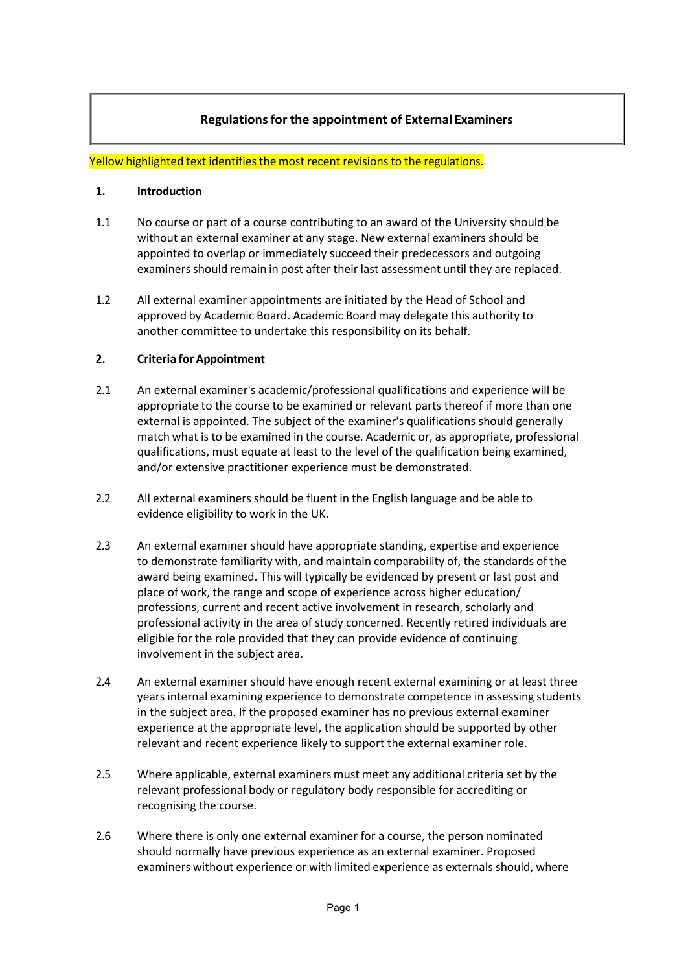# **Regulationsfor the appointment of External Examiners**

#### Yellow highlighted text identifies the most recent revisions to the regulations.

#### **1. Introduction**

- 1.1 No course or part of a course contributing to an award of the University should be without an external examiner at any stage. New external examiners should be appointed to overlap or immediately succeed their predecessors and outgoing examiners should remain in post after their last assessment until they are replaced.
- 1.2 All external examiner appointments are initiated by the Head of School and approved by Academic Board. Academic Board may delegate this authority to another committee to undertake this responsibility on its behalf.

#### **2. Criteria for Appointment**

- 2.1 An external examiner's academic/professional qualifications and experience will be appropriate to the course to be examined or relevant parts thereof if more than one external is appointed. The subject of the examiner's qualifications should generally match what is to be examined in the course. Academic or, as appropriate, professional qualifications, must equate at least to the level of the qualification being examined, and/or extensive practitioner experience must be demonstrated.
- 2.2 All external examiners should be fluent in the English language and be able to evidence eligibility to work in the UK.
- 2.3 An external examiner should have appropriate standing, expertise and experience to demonstrate familiarity with, and maintain comparability of, the standards of the award being examined. This will typically be evidenced by present or last post and place of work, the range and scope of experience across higher education/ professions, current and recent active involvement in research, scholarly and professional activity in the area of study concerned. Recently retired individuals are eligible for the role provided that they can provide evidence of continuing involvement in the subject area.
- 2.4 An external examiner should have enough recent external examining or at least three years internal examining experience to demonstrate competence in assessing students in the subject area. If the proposed examiner has no previous external examiner experience at the appropriate level, the application should be supported by other relevant and recent experience likely to support the external examiner role.
- 2.5 Where applicable, external examiners must meet any additional criteria set by the relevant professional body or regulatory body responsible for accrediting or recognising the course.
- 2.6 Where there is only one external examiner for a course, the person nominated should normally have previous experience as an external examiner. Proposed examiners without experience or with limited experience as externals should, where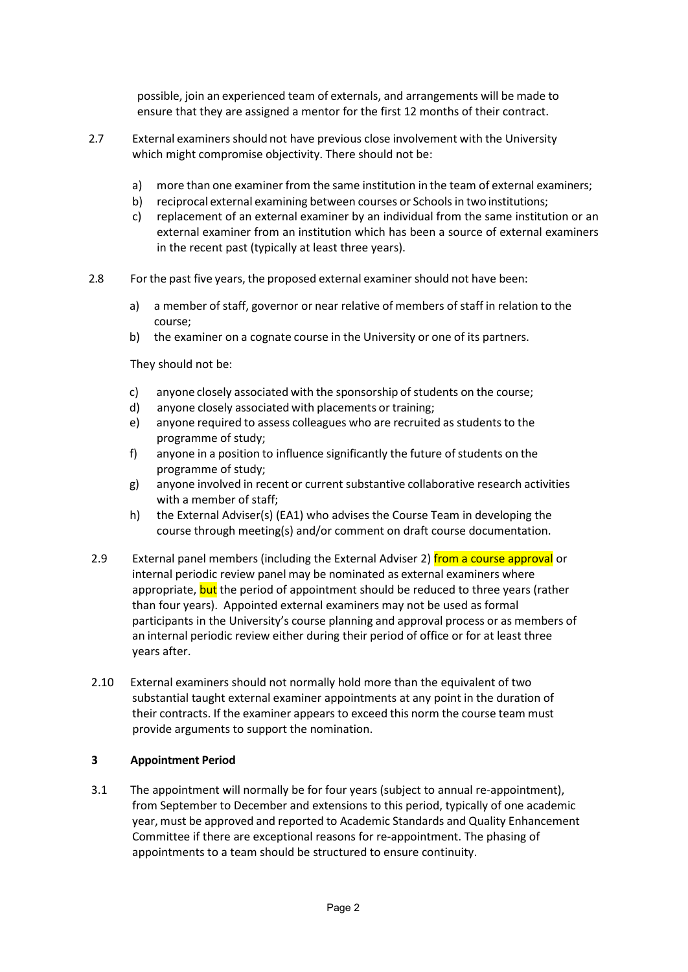possible, join an experienced team of externals, and arrangements will be made to ensure that they are assigned a mentor for the first 12 months of their contract.

- 2.7 External examiners should not have previous close involvement with the University which might compromise objectivity. There should not be:
	- a) more than one examiner from the same institution in the team of external examiners;
	- b) reciprocal external examining between courses or Schools in two institutions;
	- c) replacement of an external examiner by an individual from the same institution or an external examiner from an institution which has been a source of external examiners in the recent past (typically at least three years).
- 2.8 Forthe past five years, the proposed external examinershould not have been:
	- a) a member of staff, governor or near relative of members of staff in relation to the course;
	- b) the examiner on a cognate course in the University or one of its partners.

They should not be:

- c) anyone closely associated with the sponsorship of students on the course;
- d) anyone closely associated with placements or training;
- e) anyone required to assess colleagues who are recruited as students to the programme of study;
- f) anyone in a position to influence significantly the future of students on the programme of study;
- g) anyone involved in recent or current substantive collaborative research activities with a member of staff;
- h) the External Adviser(s) (EA1) who advises the Course Team in developing the course through meeting(s) and/or comment on draft course documentation.
- 2.9 External panel members (including the External Adviser 2) from a course approval or internal periodic review panel may be nominated as external examiners where appropriate, but the period of appointment should be reduced to three years (rather than four years). Appointed external examiners may not be used as formal participants in the University's course planning and approval process or as members of an internal periodic review either during their period of office or for at least three years after.
- 2.10 External examiners should not normally hold more than the equivalent of two substantial taught external examiner appointments at any point in the duration of their contracts. If the examiner appears to exceed this norm the course team must provide arguments to support the nomination.

## **3 Appointment Period**

3.1 The appointment will normally be for four years (subject to annual re-appointment), from September to December and extensions to this period, typically of one academic year, must be approved and reported to Academic Standards and Quality Enhancement Committee if there are exceptional reasons for re-appointment. The phasing of appointments to a team should be structured to ensure continuity.